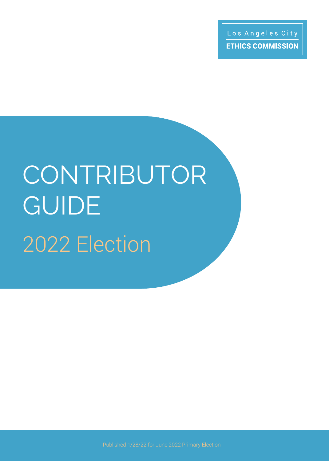# 2022 Election CONTRIBUTOR **GUIDE**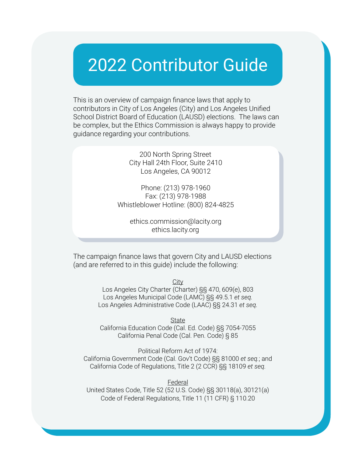### 2022 Contributor Guide

This is an overview of campaign finance laws that apply to contributors in City of Los Angeles (City) and Los Angeles Unified School District Board of Education (LAUSD) elections. The laws can be complex, but the Ethics Commission is always happy to provide guidance regarding your contributions.

> 200 North Spring Street City Hall 24th Floor, Suite 2410 Los Angeles, CA 90012

Phone: (213) 978-1960 Fax: (213) 978-1988 Whistleblower Hotline: (800) 824-4825

> ethics.commission@lacity.org ethics.lacity.org

The campaign finance laws that govern City and LAUSD elections (and are referred to in this guide) include the following:

> **City** Los Angeles City Charter (Charter) §§ 470, 609(e), 803 Los Angeles Municipal Code (LAMC) §§ 49.5.1 *et seq.* Los Angeles Administrative Code (LAAC) §§ 24.31 *et seq.*

**State** California Education Code (Cal. Ed. Code) §§ 7054-7055 California Penal Code (Cal. Pen. Code) § 85

Political Reform Act of 1974: California Government Code (Cal. Gov't Code) §§ 81000 *et seq.*; and California Code of Regulations, Title 2 (2 CCR) §§ 18109 *et seq.*

Federal United States Code, Title 52 (52 U.S. Code) §§ 30118(a), 30121(a) Code of Federal Regulations, Title 11 (11 CFR) § 110.20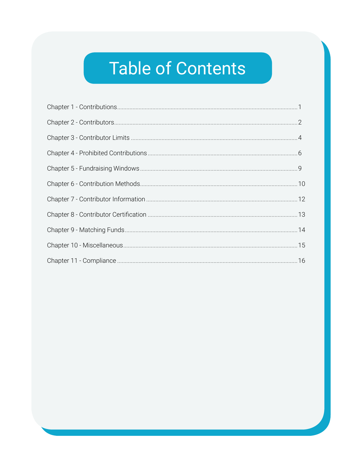### **Table of Contents**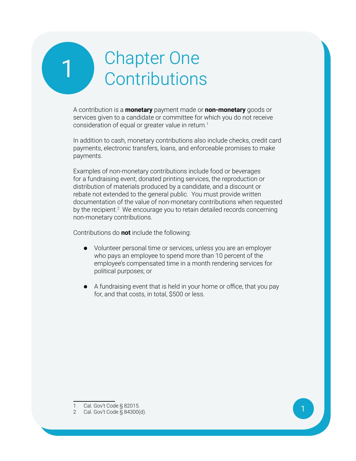### <span id="page-3-0"></span>1 Chapter One<br>Contributions **Contributions**

A contribution is a **monetary** payment made or **non-monetary** goods or services given to a candidate or committee for which you do not receive consideration of equal or greater value in return.<sup>1</sup>

In addition to cash, monetary contributions also include checks, credit card payments, electronic transfers, loans, and enforceable promises to make payments.

Examples of non-monetary contributions include food or beverages for a fundraising event, donated printing services, the reproduction or distribution of materials produced by a candidate, and a discount or rebate not extended to the general public. You must provide written documentation of the value of non-monetary contributions when requested by the recipient.<sup>2</sup> We encourage you to retain detailed records concerning non-monetary contributions.

Contributions do **not** include the following:

- **•** Volunteer personal time or services, unless you are an employer who pays an employee to spend more than 10 percent of the employee's compensated time in a month rendering services for political purposes; or
- **•** A fundraising event that is held in your home or office, that you pay for, and that costs, in total, \$500 or less.

<sup>1</sup> Cal. Gov't Code § 82015.

<sup>2</sup> Cal. Gov't Code § 84300(d).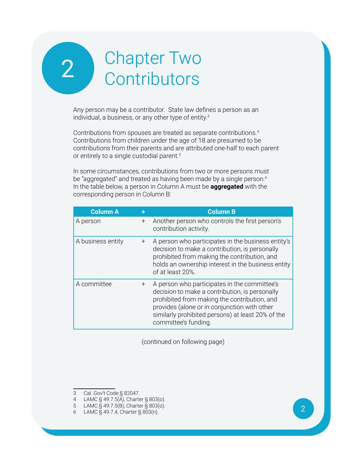### <span id="page-4-0"></span>2 Chapter Two<br>Contributors **Contributors**

Any person may be a contributor. State law defines a person as an individual, a business, or any other type of entity.3

Contributions from spouses are treated as separate contributions.<sup>4</sup> Contributions from children under the age of 18 are presumed to be contributions from their parents and are attributed one-half to each parent or entirely to a single custodial parent.<sup>5</sup>

In some circumstances, contributions from two or more persons must be "aggregated" and treated as having been made by a single person. $6$ In the table below, a person in Column A must be **aggregated** with the corresponding person in Column B:

| <b>Column A</b>   |        | <b>Column B</b>                                                                                                                                                                                                                                                             |
|-------------------|--------|-----------------------------------------------------------------------------------------------------------------------------------------------------------------------------------------------------------------------------------------------------------------------------|
| A person          | $^{+}$ | Another person who controls the first person's<br>contribution activity.                                                                                                                                                                                                    |
| A business entity | $^{+}$ | A person who participates in the business entity's<br>decision to make a contribution, is personally<br>prohibited from making the contribution, and<br>holds an ownership interest in the business entity<br>of at least 20%.                                              |
| A committee       | $^{+}$ | A person who participates in the committee's<br>decision to make a contribution, is personally<br>prohibited from making the contribution, and<br>provides (alone or in conjunction with other<br>similarly prohibited persons) at least 20% of the<br>committee's funding. |

(continued on following page)

<sup>3</sup> Cal. Gov't Code § 82047.

<sup>4</sup> LAMC § 49.7.5(A), Charter § 803(o).

<sup>5</sup> LAMC § 49.7.5(B), Charter § 803(o).

<sup>6</sup> LAMC § 49.7.4, Charter § 803(n).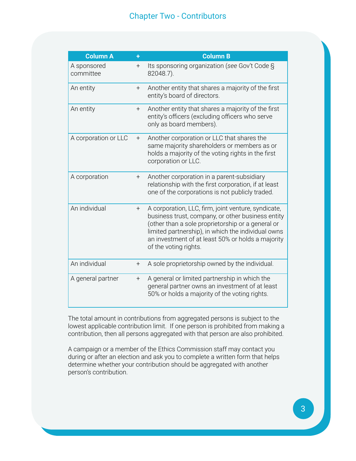#### Chapter Two - Contributors

| <b>Column A</b>          | ÷                | <b>Column B</b>                                                                                                                                                                                                                                                                                   |
|--------------------------|------------------|---------------------------------------------------------------------------------------------------------------------------------------------------------------------------------------------------------------------------------------------------------------------------------------------------|
| A sponsored<br>committee | $^{+}$           | Its sponsoring organization (see Gov't Code §<br>82048.7).                                                                                                                                                                                                                                        |
| An entity                | $+$              | Another entity that shares a majority of the first<br>entity's board of directors.                                                                                                                                                                                                                |
| An entity                | $^{+}$           | Another entity that shares a majority of the first<br>entity's officers (excluding officers who serve<br>only as board members).                                                                                                                                                                  |
| A corporation or LLC     | $+$              | Another corporation or LLC that shares the<br>same majority shareholders or members as or<br>holds a majority of the voting rights in the first<br>corporation or LLC.                                                                                                                            |
| A corporation            | $^{+}$           | Another corporation in a parent-subsidiary<br>relationship with the first corporation, if at least<br>one of the corporations is not publicly traded.                                                                                                                                             |
| An individual            | $^{+}$           | A corporation, LLC, firm, joint venture, syndicate,<br>business trust, company, or other business entity<br>(other than a sole proprietorship or a general or<br>limited partnership), in which the individual owns<br>an investment of at least 50% or holds a majority<br>of the voting rights. |
| An individual            | $\boldsymbol{+}$ | A sole proprietorship owned by the individual.                                                                                                                                                                                                                                                    |
| A general partner        | $^{+}$           | A general or limited partnership in which the<br>general partner owns an investment of at least<br>50% or holds a majority of the voting rights.                                                                                                                                                  |

The total amount in contributions from aggregated persons is subject to the lowest applicable contribution limit. If one person is prohibited from making a contribution, then all persons aggregated with that person are also prohibited.

A campaign or a member of the Ethics Commission staff may contact you during or after an election and ask you to complete a written form that helps determine whether your contribution should be aggregated with another person's contribution.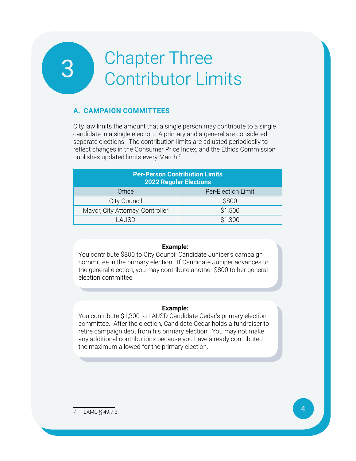## <span id="page-6-0"></span>3 Chapter Three Chapter Three<br>Contributor Limits

#### **A. Campaign Committees**

City law limits the amount that a single person may contribute to a single candidate in a single election. A primary and a general are considered separate elections. The contribution limits are adjusted periodically to reflect changes in the Consumer Price Index, and the Ethics Commission publishes updated limits every March.<sup>7</sup>

| <b>Per-Person Contribution Limits</b><br><b>2022 Regular Elections</b> |                    |  |
|------------------------------------------------------------------------|--------------------|--|
| Office                                                                 | Per-Election Limit |  |
| City Council                                                           | \$800              |  |
| Mayor, City Attorney, Controller                                       | \$1,500            |  |
| LAUSD.                                                                 | \$1,300            |  |

#### **Example:**

You contribute \$800 to City Council Candidate Juniper's campaign committee in the primary election. If Candidate Juniper advances to the general election, you may contribute another \$800 to her general election committee.

#### **Example:**

You contribute \$1,300 to LAUSD Candidate Cedar's primary election committee. After the election, Candidate Cedar holds a fundraiser to retire campaign debt from his primary election. You may not make any additional contributions because you have already contributed the maximum allowed for the primary election.

7 LAMC § 49.7.3.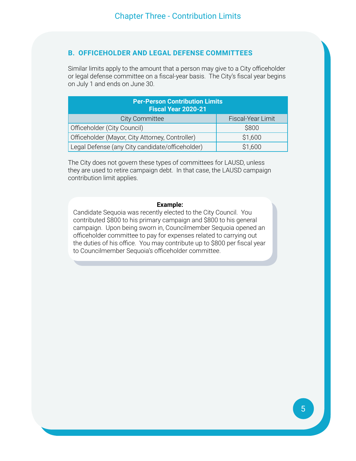#### **B. Officeholder and Legal Defense Committees**

Similar limits apply to the amount that a person may give to a City officeholder or legal defense committee on a fiscal-year basis. The City's fiscal year begins on July 1 and ends on June 30.

| <b>Per-Person Contribution Limits</b><br><b>Fiscal Year 2020-21</b> |                   |  |
|---------------------------------------------------------------------|-------------------|--|
| <b>City Committee</b>                                               | Fiscal-Year Limit |  |
| Officeholder (City Council)                                         | \$800             |  |
| Officeholder (Mayor, City Attorney, Controller)                     | \$1,600           |  |
| Legal Defense (any City candidate/officeholder)<br>\$1,600          |                   |  |

The City does not govern these types of committees for LAUSD, unless they are used to retire campaign debt. In that case, the LAUSD campaign contribution limit applies.

#### **Example:**

Candidate Sequoia was recently elected to the City Council. You contributed \$800 to his primary campaign and \$800 to his general campaign. Upon being sworn in, Councilmember Sequoia opened an officeholder committee to pay for expenses related to carrying out the duties of his office. You may contribute up to \$800 per fiscal year to Councilmember Sequoia's officeholder committee.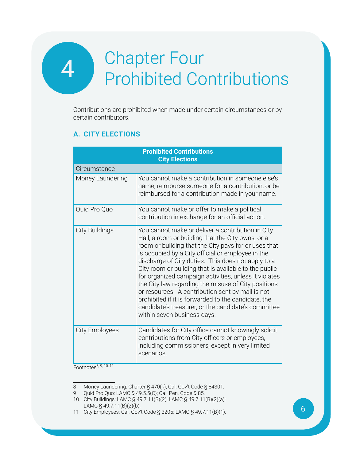### <span id="page-8-0"></span>**Chapter Four** Chapter Four<br>Prohibited Contributions

Contributions are prohibited when made under certain circumstances or by certain contributors.

#### **A. City Elections**

|                       | <b>Prohibited Contributions</b><br><b>City Elections</b>                                                                                                                                                                                                                                                                                                                                                                                                                                                                                                                                                                                            |
|-----------------------|-----------------------------------------------------------------------------------------------------------------------------------------------------------------------------------------------------------------------------------------------------------------------------------------------------------------------------------------------------------------------------------------------------------------------------------------------------------------------------------------------------------------------------------------------------------------------------------------------------------------------------------------------------|
| Circumstance          |                                                                                                                                                                                                                                                                                                                                                                                                                                                                                                                                                                                                                                                     |
| Money Laundering      | You cannot make a contribution in someone else's<br>name, reimburse someone for a contribution, or be<br>reimbursed for a contribution made in your name.                                                                                                                                                                                                                                                                                                                                                                                                                                                                                           |
| Quid Pro Quo          | You cannot make or offer to make a political<br>contribution in exchange for an official action.                                                                                                                                                                                                                                                                                                                                                                                                                                                                                                                                                    |
| City Buildings        | You cannot make or deliver a contribution in City<br>Hall, a room or building that the City owns, or a<br>room or building that the City pays for or uses that<br>is occupied by a City official or employee in the<br>discharge of City duties. This does not apply to a<br>City room or building that is available to the public<br>for organized campaign activities, unless it violates<br>the City law regarding the misuse of City positions<br>or resources. A contribution sent by mail is not<br>prohibited if it is forwarded to the candidate, the<br>candidate's treasurer, or the candidate's committee<br>within seven business days. |
| <b>City Employees</b> | Candidates for City office cannot knowingly solicit<br>contributions from City officers or employees,<br>including commissioners, except in very limited<br>scenarios.                                                                                                                                                                                                                                                                                                                                                                                                                                                                              |

 $Footnotes<sup>8, 9, 10, 11</sup>$ 

<sup>8</sup> Money Laundering: Charter § 470(k); Cal. Gov't Code § 84301.

<sup>9</sup> Quid Pro Quo: LAMC § 49.5.5(C); Cal. Pen. Code § 85.

<sup>10</sup> City Buildings: LAMC § 49.7.11(B)(2); LAMC § 49.7.11(B)(2)(a); LAMC § 49.7.11(B)(2)(b).

<sup>11</sup> City Employees: Cal. Gov't Code § 3205; LAMC § 49.7.11(B)(1).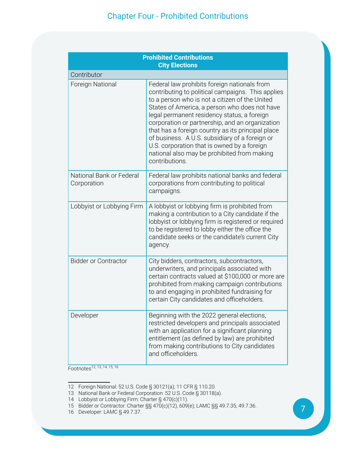| <b>Prohibited Contributions</b><br><b>City Elections</b> |                                                                                                                                                                                                                                                                                                                                                                                                                                                                                                                               |  |
|----------------------------------------------------------|-------------------------------------------------------------------------------------------------------------------------------------------------------------------------------------------------------------------------------------------------------------------------------------------------------------------------------------------------------------------------------------------------------------------------------------------------------------------------------------------------------------------------------|--|
| Contributor                                              |                                                                                                                                                                                                                                                                                                                                                                                                                                                                                                                               |  |
| Foreign National                                         | Federal law prohibits foreign nationals from<br>contributing to political campaigns. This applies<br>to a person who is not a citizen of the United<br>States of America, a person who does not have<br>legal permanent residency status, a foreign<br>corporation or partnership, and an organization<br>that has a foreign country as its principal place<br>of business. A U.S. subsidiary of a foreign or<br>U.S. corporation that is owned by a foreign<br>national also may be prohibited from making<br>contributions. |  |
| National Bank or Federal<br>Corporation                  | Federal law prohibits national banks and federal<br>corporations from contributing to political<br>campaigns.                                                                                                                                                                                                                                                                                                                                                                                                                 |  |
| Lobbyist or Lobbying Firm                                | A lobbyist or lobbying firm is prohibited from<br>making a contribution to a City candidate if the<br>lobbyist or lobbying firm is registered or required<br>to be registered to lobby either the office the<br>candidate seeks or the candidate's current City<br>agency.                                                                                                                                                                                                                                                    |  |
| <b>Bidder or Contractor</b>                              | City bidders, contractors, subcontractors,<br>underwriters, and principals associated with<br>certain contracts valued at \$100,000 or more are<br>prohibited from making campaign contributions<br>to and engaging in prohibited fundraising for<br>certain City candidates and officeholders.                                                                                                                                                                                                                               |  |
| Developer                                                | Beginning with the 2022 general elections,<br>restricted developers and principals associated<br>with an application for a significant planning<br>entitlement (as defined by law) are prohibited<br>from making contributions to City candidates<br>and officeholders.                                                                                                                                                                                                                                                       |  |

Footnotes<sup>12, 13, 14, 15, 16</sup>

<sup>12</sup> Foreign National: 52 U.S. Code § 30121(a); 11 CFR § 110.20.

<sup>13</sup> National Bank or Federal Corporation: 52 U.S. Code § 30118(a).

<sup>14</sup> Lobbyist or Lobbying Firm: Charter § 470(c)(11).

<sup>15</sup> Bidder or Contractor: Charter §§ 470(c)(12), 609(e); LAMC §§ 49.7.35, 49.7.36.

<sup>16</sup> Developer: LAMC § 49.7.37.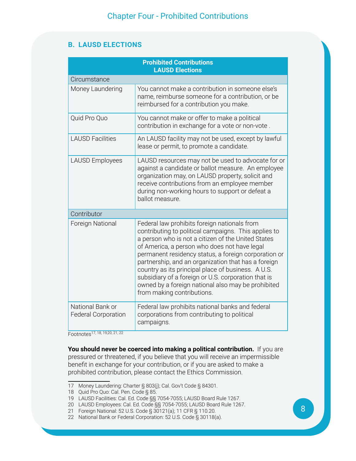#### **B. LAUSD ELECTIONS**

|                                                | <b>Prohibited Contributions</b><br><b>LAUSD Elections</b>                                                                                                                                                                                                                                                                                                                                                                                                                                                                  |
|------------------------------------------------|----------------------------------------------------------------------------------------------------------------------------------------------------------------------------------------------------------------------------------------------------------------------------------------------------------------------------------------------------------------------------------------------------------------------------------------------------------------------------------------------------------------------------|
| Circumstance                                   |                                                                                                                                                                                                                                                                                                                                                                                                                                                                                                                            |
| Money Laundering                               | You cannot make a contribution in someone else's<br>name, reimburse someone for a contribution, or be<br>reimbursed for a contribution you make.                                                                                                                                                                                                                                                                                                                                                                           |
| Quid Pro Quo                                   | You cannot make or offer to make a political<br>contribution in exchange for a vote or non-vote.                                                                                                                                                                                                                                                                                                                                                                                                                           |
| <b>LAUSD Facilities</b>                        | An LAUSD facility may not be used, except by lawful<br>lease or permit, to promote a candidate.                                                                                                                                                                                                                                                                                                                                                                                                                            |
| <b>LAUSD Employees</b>                         | LAUSD resources may not be used to advocate for or<br>against a candidate or ballot measure. An employee<br>organization may, on LAUSD property, solicit and<br>receive contributions from an employee member<br>during non-working hours to support or defeat a<br>ballot measure.                                                                                                                                                                                                                                        |
| Contributor                                    |                                                                                                                                                                                                                                                                                                                                                                                                                                                                                                                            |
| Foreign National                               | Federal law prohibits foreign nationals from<br>contributing to political campaigns. This applies to<br>a person who is not a citizen of the United States<br>of America, a person who does not have legal<br>permanent residency status, a foreign corporation or<br>partnership, and an organization that has a foreign<br>country as its principal place of business. A U.S.<br>subsidiary of a foreign or U.S. corporation that is<br>owned by a foreign national also may be prohibited<br>from making contributions. |
| National Bank or<br><b>Federal Corporation</b> | Federal law prohibits national banks and federal<br>corporations from contributing to political<br>campaigns.                                                                                                                                                                                                                                                                                                                                                                                                              |

Footnotes17, 18, 19,20, 21, 22

**You should never be coerced into making a political contribution.** If you are pressured or threatened, if you believe that you will receive an impermissible benefit in exchange for your contribution, or if you are asked to make a prohibited contribution, please contact the Ethics Commission.

<sup>17</sup> Money Laundering: Charter § 803(j); Cal. Gov't Code § 84301.

<sup>18</sup> Quid Pro Quo: Cal. Pen. Code § 85.

<sup>19</sup> LAUSD Facilities: Cal. Ed. Code §§ 7054-7055; LAUSD Board Rule 1267.

<sup>20</sup> LAUSD Employees: Cal. Ed. Code §§ 7054-7055; LAUSD Board Rule 1267.

<sup>21</sup> Foreign National: 52 U.S. Code § 30121(a); 11 CFR § 110.20.

<sup>22</sup> National Bank or Federal Corporation: 52 U.S. Code § 30118(a).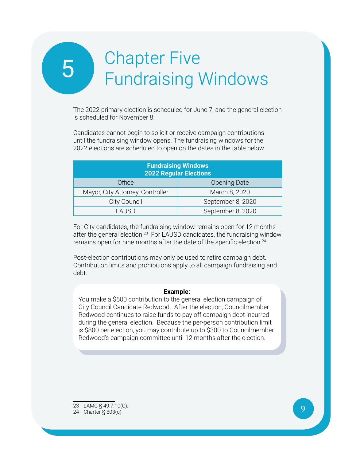## <span id="page-11-0"></span>**Chapter Five** Chapter Five<br>Fundraising Windows

The 2022 primary election is scheduled for June 7, and the general election is scheduled for November 8.

Candidates cannot begin to solicit or receive campaign contributions until the fundraising window opens. The fundraising windows for the 2022 elections are scheduled to open on the dates in the table below.

| <b>Fundraising Windows</b><br><b>2022 Regular Elections</b> |                     |  |
|-------------------------------------------------------------|---------------------|--|
| Office                                                      | <b>Opening Date</b> |  |
| Mayor, City Attorney, Controller                            | March 8, 2020       |  |
| City Council                                                | September 8, 2020   |  |
| I AUSD                                                      | September 8, 2020   |  |

For City candidates, the fundraising window remains open for 12 months after the general election.<sup>23</sup> For LAUSD candidates, the fundraising window remains open for nine months after the date of the specific election.<sup>24</sup>

Post-election contributions may only be used to retire campaign debt. Contribution limits and prohibitions apply to all campaign fundraising and debt.

#### **Example:**

You make a \$500 contribution to the general election campaign of City Council Candidate Redwood. After the election, Councilmember Redwood continues to raise funds to pay off campaign debt incurred during the general election. Because the per-person contribution limit is \$800 per election, you may contribute up to \$300 to Councilmember Redwood's campaign committee until 12 months after the election.

23 LAMC § 49.7.10(C).

<sup>24</sup> Charter § 803(q).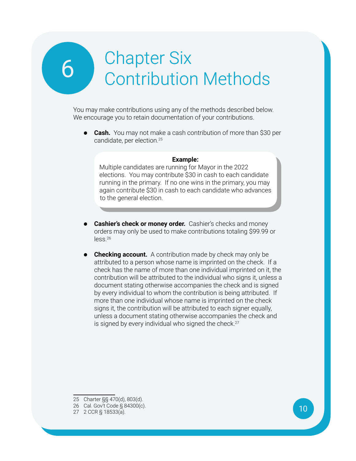### <span id="page-12-0"></span>**Chapter Six** Chapter Six<br>Contribution Methods

You may make contributions using any of the methods described below. We encourage you to retain documentation of your contributions.

**• Cash.** You may not make a cash contribution of more than \$30 per candidate, per election.25

#### **Example:**

Multiple candidates are running for Mayor in the 2022 elections. You may contribute \$30 in cash to each candidate running in the primary. If no one wins in the primary, you may again contribute \$30 in cash to each candidate who advances to the general election.

- **• Cashier's check or money order.** Cashier's checks and money orders may only be used to make contributions totaling \$99.99 or less.26
- **Checking account.** A contribution made by check may only be attributed to a person whose name is imprinted on the check. If a check has the name of more than one individual imprinted on it, the contribution will be attributed to the individual who signs it, unless a document stating otherwise accompanies the check and is signed by every individual to whom the contribution is being attributed. If more than one individual whose name is imprinted on the check signs it, the contribution will be attributed to each signer equally, unless a document stating otherwise accompanies the check and is signed by every individual who signed the check. $27$

<sup>25</sup> Charter §§ 470(d), 803(d).

<sup>26</sup> Cal. Gov't Code § 84300(c).

<sup>27</sup> 2 CCR § 18533(a).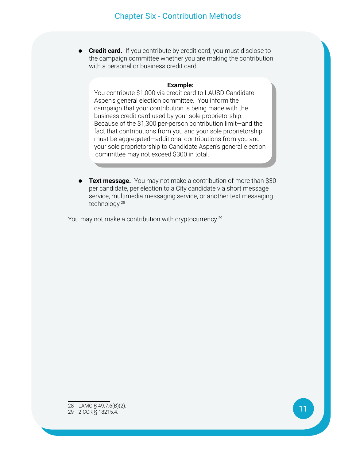**• Credit card.** If you contribute by credit card, you must disclose to the campaign committee whether you are making the contribution with a personal or business credit card.

#### **Example:**

You contribute \$1,000 via credit card to LAUSD Candidate Aspen's general election committee. You inform the campaign that your contribution is being made with the business credit card used by your sole proprietorship. Because of the \$1,300 per-person contribution limit—and the fact that contributions from you and your sole proprietorship must be aggregated—additional contributions from you and your sole proprietorship to Candidate Aspen's general election committee may not exceed \$300 in total.

**Text message.** You may not make a contribution of more than \$30 per candidate, per election to a City candidate via short message service, multimedia messaging service, or another text messaging technology.28

You may not make a contribution with cryptocurrency.<sup>29</sup>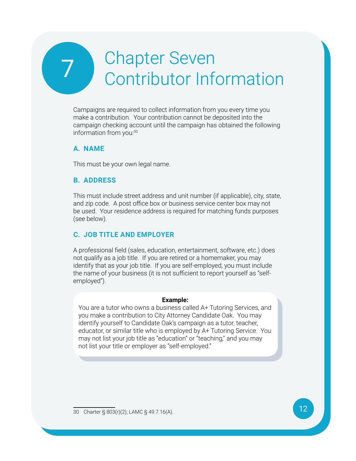### <span id="page-14-0"></span>**Chapter Seven** Chapter Seven<br>Contributor Information

Campaigns are required to collect information from you every time you make a contribution. Your contribution cannot be deposited into the campaign checking account until the campaign has obtained the following information from you:30

#### **A. Na me**

This must be your own legal name.

#### **B. Address**

This must include street address and unit number (if applicable), city, state, and zip code. A post office box or business service center box may not be used. Your residence address is required for matching funds purposes (see below).

#### **C. Job Title and Employer**

A professional field (sales, education, entertainment, software, etc.) does not qualify as a job title. If you are retired or a homemaker, you may identify that as your job title. If you are self-employed, you must include the name of your business (it is not sufficient to report yourself as "selfemployed").

#### **Example:**

You are a tutor who owns a business called A+ Tutoring Services, and you make a contribution to City Attorney Candidate Oak. You may identify yourself to Candidate Oak's campaign as a tutor, teacher, educator, or similar title who is employed by A+ Tutoring Service. You may not list your job title as "education" or "teaching," and you may not list your title or employer as "self-employed."

<sup>30</sup> Charter § 803(r)(2); LAMC § 49.7.16(A).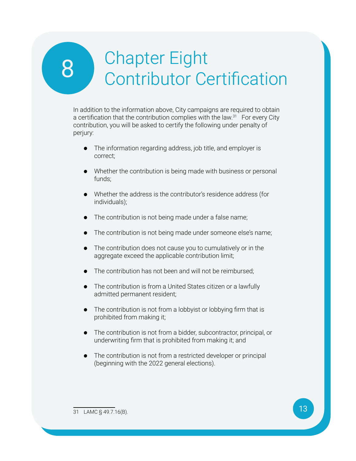### <span id="page-15-0"></span>8 Chapter Eight<br>Contributor Co Contributor Certification

In addition to the information above, City campaigns are required to obtain a certification that the contribution complies with the law.<sup>31</sup> For every City contribution, you will be asked to certify the following under penalty of perjury:

- **•** The information regarding address, job title, and employer is correct;
- **•** Whether the contribution is being made with business or personal funds;
- **•** Whether the address is the contributor's residence address (for individuals);
- **•** The contribution is not being made under a false name;
- **•** The contribution is not being made under someone else's name;
- **•** The contribution does not cause you to cumulatively or in the aggregate exceed the applicable contribution limit;
- **•** The contribution has not been and will not be reimbursed;
- **•** The contribution is from a United States citizen or a lawfully admitted permanent resident;
- **•** The contribution is not from a lobbyist or lobbying firm that is prohibited from making it;
- **•** The contribution is not from a bidder, subcontractor, principal, or underwriting firm that is prohibited from making it; and
- **•** The contribution is not from a restricted developer or principal (beginning with the 2022 general elections).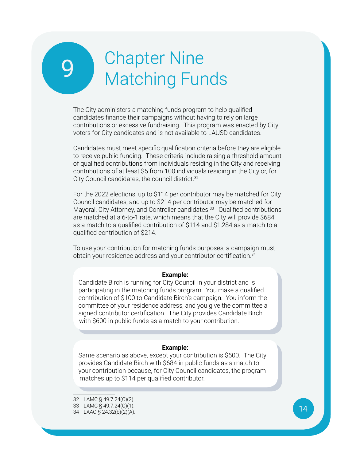### <span id="page-16-0"></span>**Chapter Nine** Chapter Nine<br>Matching Funds

The City administers a matching funds program to help qualified candidates finance their campaigns without having to rely on large contributions or excessive fundraising. This program was enacted by City voters for City candidates and is not available to LAUSD candidates.

Candidates must meet specific qualification criteria before they are eligible to receive public funding. These criteria include raising a threshold amount of qualified contributions from individuals residing in the City and receiving contributions of at least \$5 from 100 individuals residing in the City or, for City Council candidates, the council district.<sup>32</sup>

For the 2022 elections, up to \$114 per contributor may be matched for City Council candidates, and up to \$214 per contributor may be matched for Mayoral, City Attorney, and Controller candidates.<sup>33</sup> Qualified contributions are matched at a 6-to-1 rate, which means that the City will provide \$684 as a match to a qualified contribution of \$114 and \$1,284 as a match to a qualified contribution of \$214.

To use your contribution for matching funds purposes, a campaign must obtain your residence address and your contributor certification.<sup>34</sup>

#### **Example:**

Candidate Birch is running for City Council in your district and is participating in the matching funds program. You make a qualified contribution of \$100 to Candidate Birch's campaign. You inform the committee of your residence address, and you give the committee a signed contributor certification. The City provides Candidate Birch with \$600 in public funds as a match to your contribution.

#### **Example:**

Same scenario as above, except your contribution is \$500. The City provides Candidate Birch with \$684 in public funds as a match to your contribution because, for City Council candidates, the program matches up to \$114 per qualified contributor.

<sup>32</sup> LAMC § 49.7.24(C)(2).

<sup>33</sup> LAMC § 49.7.24(C)(1).

<sup>34</sup> LAAC § 24.32(b)(2)(A).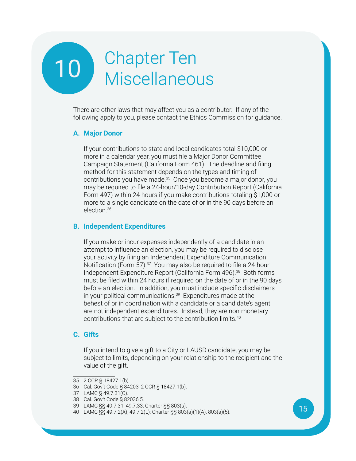# <span id="page-17-0"></span>10 Chapter Ten Chapter Ten<br>Miscellaneous

There are other laws that may affect you as a contributor. If any of the following apply to you, please contact the Ethics Commission for guidance.

#### **A. Major Donor**

If your contributions to state and local candidates total \$10,000 or more in a calendar year, you must file a Major Donor Committee Campaign Statement (California Form 461). The deadline and filing method for this statement depends on the types and timing of contributions you have made.<sup>35</sup> Once you become a major donor, you may be required to file a 24-hour/10-day Contribution Report (California Form 497) within 24 hours if you make contributions totaling \$1,000 or more to a single candidate on the date of or in the 90 days before an election.36

#### **B. Independent Expenditures**

If you make or incur expenses independently of a candidate in an attempt to influence an election, you may be required to disclose your activity by filing an Independent Expenditure Communication Notification (Form 57).<sup>37</sup> You may also be required to file a 24-hour Independent Expenditure Report (California Form 496).<sup>38</sup> Both forms must be filed within 24 hours if required on the date of or in the 90 days before an election. In addition, you must include specific disclaimers in your political communications.<sup>39</sup> Expenditures made at the behest of or in coordination with a candidate or a candidate's agent are not independent expenditures. Instead, they are non-monetary contributions that are subject to the contribution limits.40

#### **C. Gifts**

If you intend to give a gift to a City or LAUSD candidate, you may be subject to limits, depending on your relationship to the recipient and the value of the gift.

<sup>35</sup> 2 CCR § 18427.1(b).

<sup>36</sup> Cal. Gov't Code § 84203; 2 CCR § 18427.1(b).

<sup>37</sup> LAMC § 49.7.31(C).

<sup>38</sup> Cal. Gov't Code § 82036.5.

<sup>39</sup> LAMC §§ 49.7.31, 49.7.33; Charter §§ 803(s).

<sup>40</sup> LAMC §§ 49.7.2(A), 49.7.2(L); Charter §§ 803(a)(1)(A), 803(a)(5).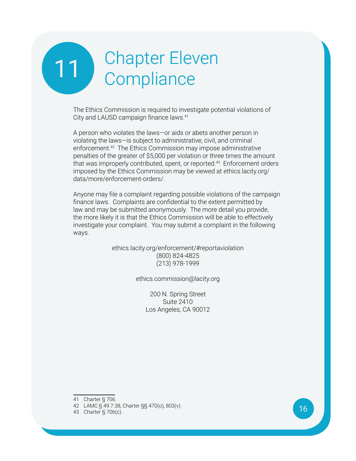# <span id="page-18-0"></span>11 Chapter Eleven **Compliance**

The Ethics Commission is required to investigate potential violations of City and LAUSD campaign finance laws.41

A person who violates the laws—or aids or abets another person in violating the laws—is subject to administrative, civil, and criminal enforcement.<sup>42</sup> The Ethics Commission may impose administrative penalties of the greater of \$5,000 per violation or three times the amount that was improperly contributed, spent, or reported.<sup>43</sup> Enforcement orders imposed by the Ethics Commission may be viewed at ethics.lacity.org/ data/more/enforcement-orders/.

Anyone may file a complaint regarding possible violations of the campaign finance laws. Complaints are confidential to the extent permitted by law and may be submitted anonymously. The more detail you provide, the more likely it is that the Ethics Commission will be able to effectively investigate your complaint. You may submit a complaint in the following ways.

> ethics.lacity.org/enforcement/#reportaviolation (800) 824-4825 (213) 978-1999

> > ethics.commission@lacity.org

200 N. Spring Street Suite 2410 Los Angeles, CA 90012

41 Charter § 706.

<sup>42</sup> LAMC § 49.7.38, Charter §§ 470(o), 803(v).

<sup>43</sup> Charter § 706(c).